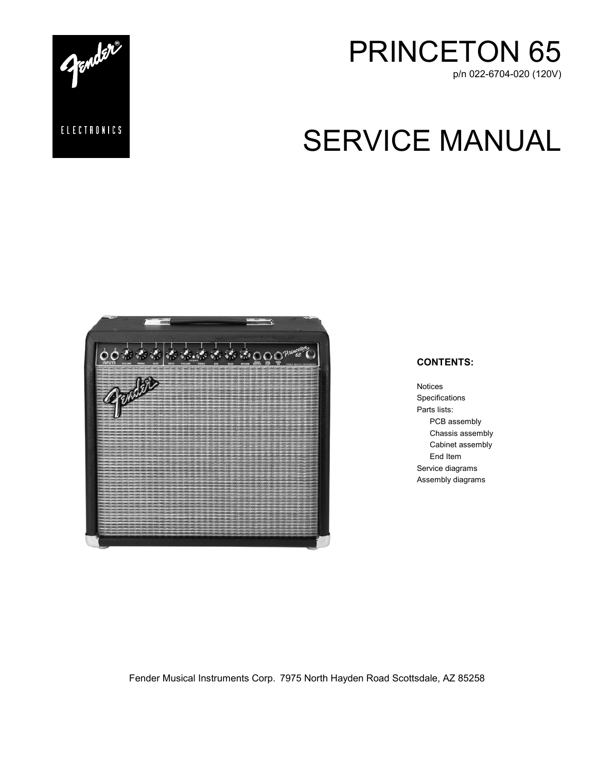



# SERVICE MANUAL



#### **CONTENTS:**

Notices Specifications Parts lists: PCB assembly Chassis assembly Cabinet assembly End Item Service diagrams Assembly diagrams

Fender Musical Instruments Corp. 7975 North Hayden Road Scottsdale, AZ 85258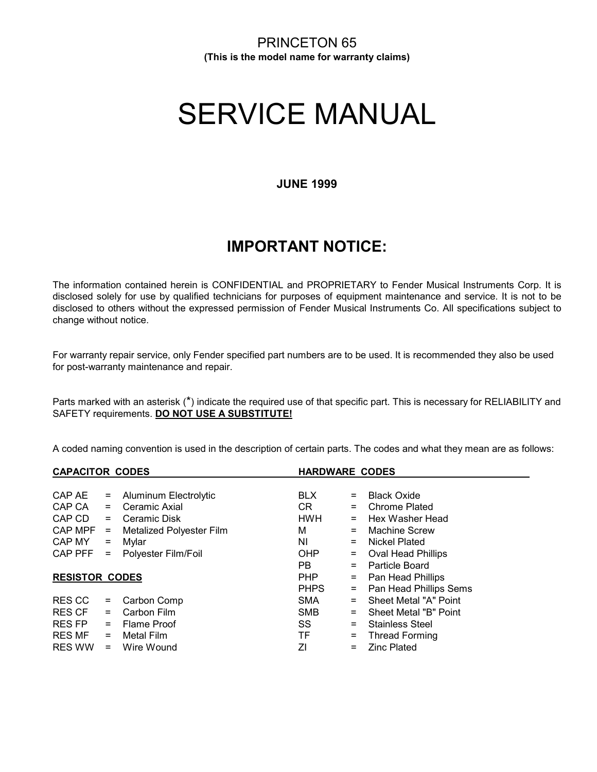# SERVICE MANUAL

#### **JUNE 1999**

### **IMPORTANT NOTICE:**

The information contained herein is CONFIDENTIAL and PROPRIETARY to Fender Musical Instruments Corp. It is disclosed solely for use by qualified technicians for purposes of equipment maintenance and service. It is not to be disclosed to others without the expressed permission of Fender Musical Instruments Co. All specifications subject to change without notice.

For warranty repair service, only Fender specified part numbers are to be used. It is recommended they also be used for post-warranty maintenance and repair.

Parts marked with an asterisk (\*) indicate the required use of that specific part. This is necessary for RELIABILITY and SAFETY requirements. **DO NOT USE A SUBSTITUTE!**

A coded naming convention is used in the description of certain parts. The codes and what they mean are as follows:

| <b>CAPACITOR CODES</b> |     |                                 | <b>HARDWARE CODES</b> |     |                           |  |
|------------------------|-----|---------------------------------|-----------------------|-----|---------------------------|--|
|                        |     |                                 |                       |     |                           |  |
| CAP AE                 | $=$ | Aluminum Electrolytic           | BLX.                  | $=$ | <b>Black Oxide</b>        |  |
| CAP CA                 | $=$ | Ceramic Axial                   | CR.                   | $=$ | <b>Chrome Plated</b>      |  |
| CAP CD                 | $=$ | Ceramic Disk                    | <b>HWH</b>            | $=$ | Hex Washer Head           |  |
| CAP MPF                | $=$ | <b>Metalized Polyester Film</b> | М                     | $=$ | <b>Machine Screw</b>      |  |
| CAP MY                 | $=$ | Mylar                           | ΝI                    | $=$ | Nickel Plated             |  |
| CAP PFF                | $=$ | Polyester Film/Foil             | <b>OHP</b>            | =   | <b>Oval Head Phillips</b> |  |
|                        |     |                                 | PB                    | $=$ | Particle Board            |  |
| <b>RESISTOR CODES</b>  |     |                                 | <b>PHP</b>            | $=$ | Pan Head Phillips         |  |
|                        |     |                                 | <b>PHPS</b>           | Ξ   | Pan Head Phillips Sems    |  |
| <b>RES CC</b>          | $=$ | Carbon Comp                     | <b>SMA</b>            |     | Sheet Metal "A" Point     |  |
| <b>RES CF</b>          | $=$ | Carbon Film                     | <b>SMB</b>            | $=$ | Sheet Metal "B" Point     |  |
| <b>RES FP</b>          | $=$ | Flame Proof                     | SS                    | $=$ | <b>Stainless Steel</b>    |  |
| <b>RES MF</b>          | $=$ | Metal Film                      | <b>TF</b>             | $=$ | <b>Thread Forming</b>     |  |
| <b>RES WW</b>          | $=$ | Wire Wound                      | ΖI                    | $=$ | <b>Zinc Plated</b>        |  |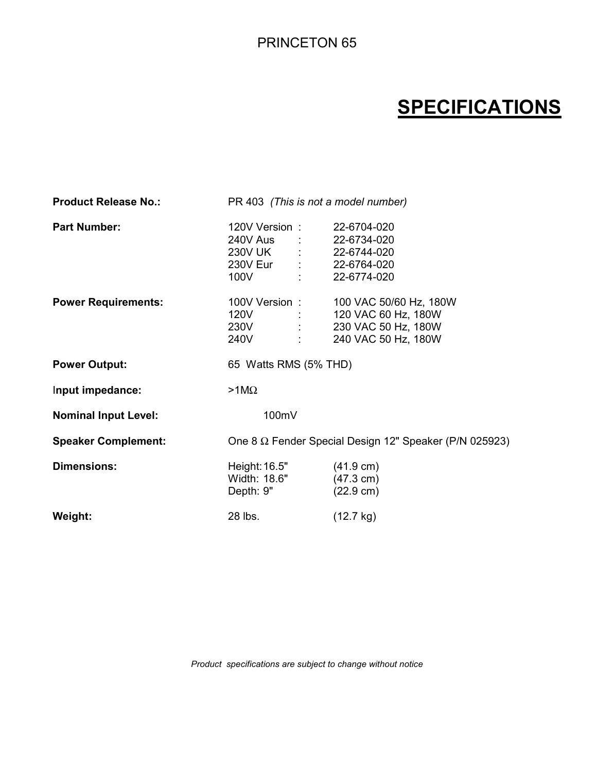### PRINCETON 65

# **SPECIFICATIONS**

| <b>Product Release No.:</b> | PR 403 (This is not a model number)                                                    |                                                                                             |
|-----------------------------|----------------------------------------------------------------------------------------|---------------------------------------------------------------------------------------------|
| <b>Part Number:</b>         | 120V Version:<br>240V Aus : 22-6734-020<br>230V UK :<br>230V Eur : 22-6764-020<br>100V | 22-6704-020<br>22-6744-020<br>22-6774-020                                                   |
| <b>Power Requirements:</b>  | 100V Version:<br>120V<br>230V :<br>240V 240                                            | 100 VAC 50/60 Hz, 180W<br>120 VAC 60 Hz, 180W<br>230 VAC 50 Hz, 180W<br>240 VAC 50 Hz, 180W |
| <b>Power Output:</b>        | 65 Watts RMS (5% THD)                                                                  |                                                                                             |
| Input impedance:            | $>1$ M $\Omega$                                                                        |                                                                                             |
| <b>Nominal Input Level:</b> | 100mV                                                                                  |                                                                                             |
| <b>Speaker Complement:</b>  |                                                                                        | One 8 $\Omega$ Fender Special Design 12" Speaker (P/N 025923)                               |
| <b>Dimensions:</b>          | Height: 16.5"<br>Width: 18.6"<br>Depth: 9"                                             | $(41.9 \text{ cm})$<br>$(47.3 \text{ cm})$<br>$(22.9 \text{ cm})$                           |
| Weight:                     | 28 lbs.                                                                                | $(12.7 \text{ kg})$                                                                         |

*Product specifications are subject to change without notice*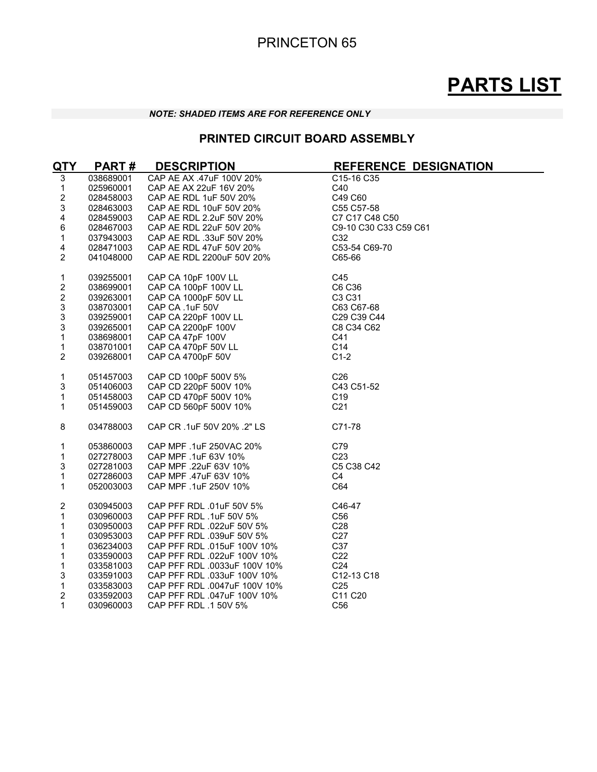### PRINCETON 65

## **PARTS LIST**

#### *NOTE: SHADED ITEMS ARE FOR REFERENCE ONLY*

#### **PRINTED CIRCUIT BOARD ASSEMBLY**

| QTY                     | PART#     | <b>DESCRIPTION</b>                                         | <b>REFERENCE DESIGNATION</b>        |
|-------------------------|-----------|------------------------------------------------------------|-------------------------------------|
| 3                       | 038689001 | CAP AE AX .47uF 100V 20%                                   | C <sub>15</sub> -16 C <sub>35</sub> |
| 1                       | 025960001 | CAP AE AX 22uF 16V 20%                                     | C40                                 |
| $\overline{\mathbf{c}}$ | 028458003 | CAP AE RDL 1uF 50V 20%                                     | C49 C60                             |
| 3                       | 028463003 | CAP AE RDL 10uF 50V 20%                                    | C55 C57-58                          |
| 4                       | 028459003 | CAP AE RDL 2.2uF 50V 20%                                   | C7 C17 C48 C50                      |
| 6                       | 028467003 | CAP AE RDL 22uF 50V 20%                                    | C9-10 C30 C33 C59 C61               |
| 1                       | 037943003 | CAP AE RDL .33uF 50V 20%                                   | C32                                 |
| 4                       | 028471003 | CAP AE RDL 47uF 50V 20%                                    | C53-54 C69-70                       |
| $\overline{2}$          | 041048000 | CAP AE RDL 2200uF 50V 20%                                  | C65-66                              |
|                         |           |                                                            |                                     |
| 1                       | 039255001 | CAP CA 10pF 100V LL                                        | C45                                 |
| $\overline{\mathbf{c}}$ | 038699001 | CAP CA 100pF 100V LL                                       | C6 C36                              |
| $\boldsymbol{2}$        | 039263001 | CAP CA 1000pF 50V LL                                       | C3 C31                              |
| 3                       | 038703001 | CAP CA .1uF 50V<br>CAP CA .1uF 50V<br>CAP CA 220pF 100V LL | C63 C67-68                          |
| 3                       | 039259001 |                                                            | C29 C39 C44                         |
| 3                       | 039265001 | CAP CA 2200pF 100V                                         | C8 C34 C62                          |
| 1                       | 038698001 | CAP CA 47pF 100V                                           | C41                                 |
| 1                       | 038701001 | CAP CA 470pF 50V LL                                        | C14                                 |
| $\overline{c}$          | 039268001 | CAP CA 4700pF 50V                                          | $C1-2$                              |
| 1                       | 051457003 | CAP CD 100pF 500V 5%                                       | C <sub>26</sub>                     |
| 3                       | 051406003 | CAP CD 220pF 500V 10%                                      | C43 C51-52                          |
| 1                       | 051458003 | CAP CD 470pF 500V 10%                                      | C <sub>19</sub>                     |
| $\mathbf 1$             | 051459003 | CAP CD 560pF 500V 10%                                      | C <sub>21</sub>                     |
|                         |           |                                                            |                                     |
| 8                       | 034788003 | CAP CR .1uF 50V 20% .2" LS                                 | C71-78                              |
| 1                       | 053860003 | CAP MPF .1uF 250VAC 20%                                    | C79                                 |
| 1                       | 027278003 | CAP MPF .1uF 63V 10%                                       | C <sub>23</sub>                     |
| 3                       | 027281003 | CAP MPF .22uF 63V 10%                                      | C5 C38 C42                          |
| 1                       | 027286003 | CAP MPF .47uF 63V 10%                                      | C4                                  |
| 1                       | 052003003 | CAP MPF .1uF 250V 10%                                      | C64                                 |
|                         | 030945003 | CAP PFF RDL .01uF 50V 5%                                   | C46-47                              |
| 2<br>1                  | 030960003 | CAP PFF RDL .1uF 50V 5%                                    | C <sub>56</sub>                     |
| 1                       |           | CAP PFF RDL .022uF 50V 5%                                  | C28                                 |
|                         | 030950003 |                                                            | C <sub>27</sub>                     |
| 1                       | 030953003 | CAP PFF RDL .039uF 50V 5%                                  | C37                                 |
| 1                       | 036234003 | CAP PFF RDL .015uF 100V 10%                                |                                     |
| 1                       | 033590003 | CAP PFF RDL .022uF 100V 10%                                | C <sub>22</sub>                     |
| $\mathbf{1}$            | 033581003 | CAP PFF RDL .0033uF 100V 10%                               | C <sub>24</sub>                     |
| 3                       | 033591003 | CAP PFF RDL .033uF 100V 10%                                | C12-13 C18                          |
| 1                       | 033583003 | CAP PFF RDL .0047uF 100V 10%                               | C <sub>25</sub>                     |
| 2                       | 033592003 | CAP PFF RDL .047uF 100V 10%                                | C11 C20                             |
| $\mathbf{1}$            | 030960003 | CAP PFF RDL .1 50V 5%                                      | C <sub>56</sub>                     |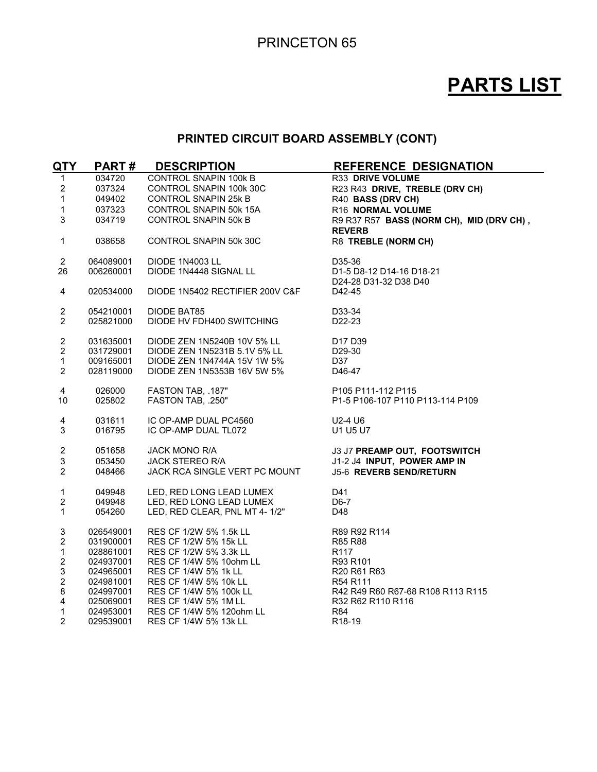### PRINCETON 65

## **PARTS LIST**

### **PRINTED CIRCUIT BOARD ASSEMBLY (CONT)**

| QTY                                     | <b>PART#</b> | <b>DESCRIPTION</b>                             | <b>REFERENCE DESIGNATION</b>                                |
|-----------------------------------------|--------------|------------------------------------------------|-------------------------------------------------------------|
| $\mathbf{1}$                            | 034720       | <b>CONTROL SNAPIN 100k B</b>                   | R33 DRIVE VOLUME                                            |
| $\overline{c}$                          | 037324       | CONTROL SNAPIN 100k 30C                        | R23 R43 DRIVE, TREBLE (DRV CH)                              |
| $\mathbf{1}$                            | 049402       | <b>CONTROL SNAPIN 25k B</b>                    | R40 BASS (DRV CH)                                           |
| 1                                       | 037323       | <b>CONTROL SNAPIN 50k 15A</b>                  | R16 NORMAL VOLUME                                           |
| 3                                       | 034719       | <b>CONTROL SNAPIN 50k B</b>                    | R9 R37 R57 BASS (NORM CH), MID (DRV CH),                    |
|                                         |              |                                                | <b>REVERB</b>                                               |
| $\mathbf{1}$                            | 038658       | CONTROL SNAPIN 50k 30C                         | R8 TREBLE (NORM CH)                                         |
|                                         |              |                                                |                                                             |
| $\overline{2}$<br>26                    | 064089001    | <b>DIODE 1N4003 LL</b>                         | D35-36                                                      |
|                                         | 006260001    | DIODE 1N4448 SIGNAL LL                         | D1-5 D8-12 D14-16 D18-21<br>D24-28 D31-32 D38 D40           |
| 4                                       | 020534000    | DIODE 1N5402 RECTIFIER 200V C&F                | D42-45                                                      |
|                                         |              |                                                |                                                             |
| $\overline{2}$                          | 054210001    | DIODE BAT85                                    | D33-34                                                      |
| $\overline{2}$                          | 025821000    | DIODE HV FDH400 SWITCHING                      | D22-23                                                      |
|                                         |              |                                                |                                                             |
| $\overline{c}$                          | 031635001    | DIODE ZEN 1N5240B 10V 5% LL                    | D17 D39                                                     |
| $\overline{c}$                          | 031729001    | DIODE ZEN 1N5231B 5.1V 5% LL                   | D29-30                                                      |
| $\mathbf 1$                             | 009165001    | DIODE ZEN 1N4744A 15V 1W 5%                    | D37                                                         |
| $\overline{2}$                          | 028119000    | DIODE ZEN 1N5353B 16V 5W 5%                    | D46-47                                                      |
| $\overline{4}$                          | 026000       | FASTON TAB, .187"                              | P105 P111-112 P115                                          |
| 10                                      | 025802       | FASTON TAB, .250"                              | P1-5 P106-107 P110 P113-114 P109                            |
|                                         |              |                                                |                                                             |
| 4                                       | 031611       | IC OP-AMP DUAL PC4560                          | U2-4 U6                                                     |
| 3                                       | 016795       | IC OP-AMP DUAL TL072                           | U1 U5 U7                                                    |
| $\overline{c}$                          | 051658       | JACK MONO R/A                                  |                                                             |
| 3                                       | 053450       | <b>JACK STEREO R/A</b>                         | J3 J7 PREAMP OUT, FOOTSWITCH<br>J1-2 J4 INPUT, POWER AMP IN |
| $\overline{2}$                          |              | JACK RCA SINGLE VERT PC MOUNT                  | J5-6 REVERB SEND/RETURN                                     |
|                                         | 048466       |                                                |                                                             |
| $\mathbf{1}$                            | 049948       | LED, RED LONG LEAD LUMEX                       | D41                                                         |
| $\overline{2}$                          | 049948       | LED, RED LONG LEAD LUMEX                       | D6-7                                                        |
| $\mathbf{1}$                            | 054260       | LED, RED CLEAR, PNL MT 4-1/2"                  | D48                                                         |
|                                         |              |                                                |                                                             |
| $\ensuremath{\mathsf{3}}$               | 026549001    | RES CF 1/2W 5% 1.5k LL                         | R89 R92 R114                                                |
| $\boldsymbol{2}$                        | 031900001    | RES CF 1/2W 5% 15k LL                          | R85 R88                                                     |
| $\mathbf{1}$                            | 028861001    | RES CF 1/2W 5% 3.3k LL                         | R <sub>117</sub>                                            |
| $\overline{c}$                          | 024937001    | RES CF 1/4W 5% 10ohm LL                        | R93 R101                                                    |
| 3                                       | 024965001    | RES CF 1/4W 5% 1k LL                           | R <sub>20</sub> R <sub>61</sub> R <sub>63</sub>             |
| $\overline{c}$                          | 024981001    | RES CF 1/4W 5% 10k LL                          | R54 R111                                                    |
| $\bf 8$                                 | 024997001    | RES CF 1/4W 5% 100k LL<br>RES CF 1/4W 5% 1M LL | R42 R49 R60 R67-68 R108 R113 R115                           |
| $\overline{\mathbf{4}}$<br>$\mathbf{1}$ | 025069001    | RES CF 1/4W 5% 120ohm LL                       | R32 R62 R110 R116<br><b>R84</b>                             |
| $\overline{2}$                          | 024953001    | RES CF 1/4W 5% 13k LL                          | R <sub>18</sub> -19                                         |
|                                         | 029539001    |                                                |                                                             |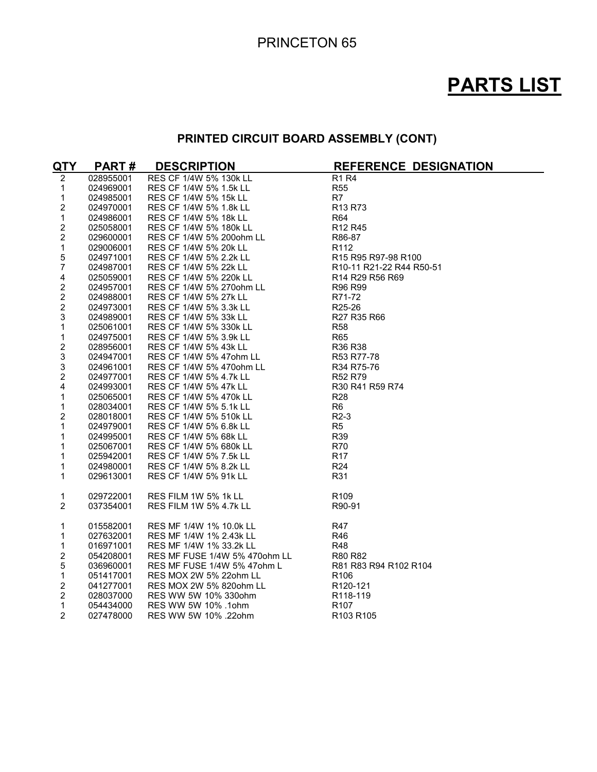### **PRINTED CIRCUIT BOARD ASSEMBLY (CONT)**

| Q <u>TY</u>             | <b>PART#</b> | <b>DESCRIPTION</b>                                                                                                                                                                                                                               | <b>REFERENCE DESIGNATION</b>                                                |
|-------------------------|--------------|--------------------------------------------------------------------------------------------------------------------------------------------------------------------------------------------------------------------------------------------------|-----------------------------------------------------------------------------|
| $\overline{2}$          | 028955001    | RES CF 1/4W 5% 130k LL                                                                                                                                                                                                                           | <b>R1 R4</b>                                                                |
| 1                       | 024969001    | RES CF 1/4W 5% 1.5k LL                                                                                                                                                                                                                           | <b>R55</b>                                                                  |
| 1                       | 024985001    | RES CF 1/4W 5% 15k LL                                                                                                                                                                                                                            | R7                                                                          |
| 2                       | 024970001    | RES CF 1/4W 5% 1.8k LL                                                                                                                                                                                                                           | R <sub>13</sub> R <sub>73</sub>                                             |
| 1                       | 024986001    | RES CF 1/4W 5% 18k LL                                                                                                                                                                                                                            | R <sub>64</sub>                                                             |
| 2                       | 025058001    | RES CF 1/4W 5% 180k LL                                                                                                                                                                                                                           | R <sub>12</sub> R <sub>45</sub>                                             |
| 2                       | 029600001    | RES CF 1/4W 5% 200ohm LL                                                                                                                                                                                                                         | R86-87                                                                      |
| 1                       | 029006001    |                                                                                                                                                                                                                                                  | R <sub>112</sub>                                                            |
| 5                       | 024971001    |                                                                                                                                                                                                                                                  | R <sub>15</sub> R <sub>95</sub> R <sub>97</sub> -98 R <sub>100</sub>        |
| 7                       | 024987001    |                                                                                                                                                                                                                                                  | R <sub>10</sub> -11 R <sub>21</sub> -22 R <sub>44</sub> R <sub>50</sub> -51 |
| 4                       | 025059001    |                                                                                                                                                                                                                                                  | R <sub>14</sub> R <sub>29</sub> R <sub>56</sub> R <sub>69</sub>             |
| 2                       | 024957001    |                                                                                                                                                                                                                                                  | R96 R99                                                                     |
| 2                       | 024988001    |                                                                                                                                                                                                                                                  | R71-72                                                                      |
| $\overline{c}$          | 024973001    |                                                                                                                                                                                                                                                  | R <sub>25</sub> -26                                                         |
| 3                       | 024989001    |                                                                                                                                                                                                                                                  | R27 R35 R66                                                                 |
| 1                       | 025061001    |                                                                                                                                                                                                                                                  | <b>R58</b>                                                                  |
| 1                       | 024975001    |                                                                                                                                                                                                                                                  | R65                                                                         |
| 2                       | 028956001    |                                                                                                                                                                                                                                                  | R36 R38                                                                     |
| 3                       | 024947001    | RES CF 1/4W 5% 2000nm LL<br>RES CF 1/4W 5% 20k LL<br>RES CF 1/4W 5% 2.2k LL<br>RES CF 1/4W 5% 2.2k LL<br>RES CF 1/4W 5% 220k LL<br>RES CF 1/4W 5% 2700nm LL<br>RES CF 1/4W 5% 2700nm LL<br>RES CF 1/4W 5% 3.3k LL<br>RES CF 1/4W 5% 330k LL<br>R | R53 R77-78                                                                  |
| 3                       | 024961001    | RES CF 1/4W 5% 470ohm LL                                                                                                                                                                                                                         | R34 R75-76                                                                  |
| $\overline{c}$          | 024977001    |                                                                                                                                                                                                                                                  | R <sub>52</sub> R <sub>79</sub>                                             |
| 4                       | 024993001    |                                                                                                                                                                                                                                                  | R30 R41 R59 R74                                                             |
| 1                       | 025065001    |                                                                                                                                                                                                                                                  | <b>R28</b>                                                                  |
| 1                       | 028034001    |                                                                                                                                                                                                                                                  | R6                                                                          |
| 2                       | 028018001    | RES CF 1/4W 5% 4700nm LL<br>RES CF 1/4W 5% 4.7k LL<br>RES CF 1/4W 5% 470k LL<br>RES CF 1/4W 5% 470k LL<br>RES CF 1/4W 5% 5.1k LL<br>RES CF 1/4W 5% 6.8k LL<br>RES CF 1/4W 5% 68k LL<br>RES CF 1/4W 5% 680k LL<br>RES CF 1/4W 5% 7.5k LL<br>RES C | $R2-3$                                                                      |
| 1                       | 024979001    |                                                                                                                                                                                                                                                  | R <sub>5</sub>                                                              |
| 1                       | 024995001    |                                                                                                                                                                                                                                                  | R <sub>39</sub>                                                             |
| 1                       | 025067001    |                                                                                                                                                                                                                                                  | <b>R70</b>                                                                  |
| 1                       | 025942001    |                                                                                                                                                                                                                                                  | <b>R17</b>                                                                  |
| 1                       | 024980001    |                                                                                                                                                                                                                                                  | <b>R24</b>                                                                  |
| 1                       | 029613001    | RES CF 1/4W 5% 91k LL                                                                                                                                                                                                                            | <b>R31</b>                                                                  |
| 1                       | 029722001    | RES FILM 1W 5% 1k LL<br>RES FILM 1W 5% 4 7k LL                                                                                                                                                                                                   | R <sub>109</sub>                                                            |
| $\overline{2}$          | 037354001    | RES FILM 1W 5% 4.7k LL                                                                                                                                                                                                                           | R90-91                                                                      |
| 1                       | 015582001    | RES MF 1/4W 1% 10.0k LL                                                                                                                                                                                                                          | <b>R47</b>                                                                  |
| 1                       | 027632001    | RES MF 1/4W 1% 2.43k LL                                                                                                                                                                                                                          | R46                                                                         |
| 1                       | 016971001    | RES MF 1/4W 1% 33.2k LL                                                                                                                                                                                                                          | R48                                                                         |
| $\overline{\mathbf{c}}$ | 054208001    | RES MF FUSE 1/4W 5% 470ohm LL                                                                                                                                                                                                                    | R80 R82                                                                     |
| 5                       | 036960001    | RES MF FUSE 1/4W 5% 47ohm L                                                                                                                                                                                                                      | R81 R83 R94 R102 R104                                                       |
| 1                       | 051417001    | RES MOX 2W 5% 22ohm LL                                                                                                                                                                                                                           | R <sub>106</sub>                                                            |
| 2                       | 041277001    | RES MOX 2W 5% 820ohm LL                                                                                                                                                                                                                          | R <sub>120</sub> -121                                                       |
| 2                       | 028037000    | RES WW 5W 10% 330ohm                                                                                                                                                                                                                             | R <sub>118</sub> -119                                                       |
| 1                       | 054434000    | RES WW 5W 10% .1ohm                                                                                                                                                                                                                              | R <sub>107</sub>                                                            |
| $\overline{2}$          | 027478000    | RES WW 5W 10% .22ohm                                                                                                                                                                                                                             | R103 R105                                                                   |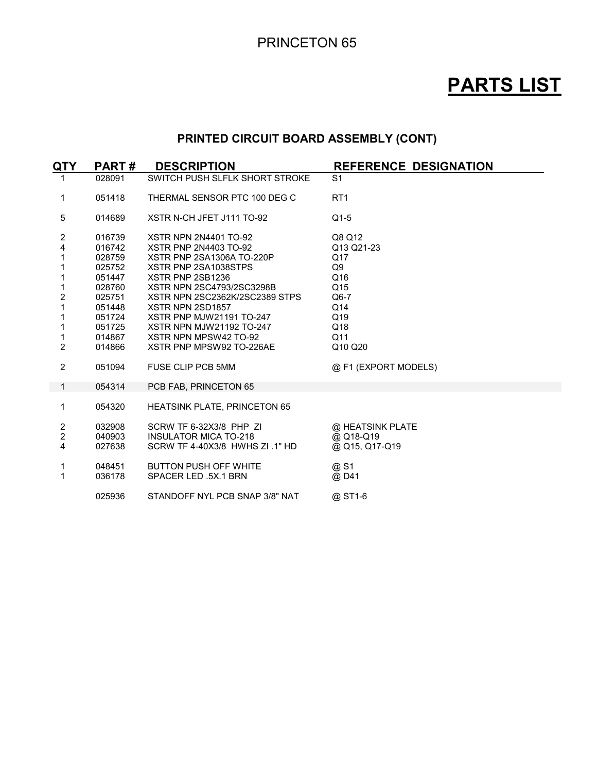### **PRINTED CIRCUIT BOARD ASSEMBLY (CONT)**

| QTY                                                       | <b>PART#</b>                                                                                                         | <b>DESCRIPTION</b>                                                                                                                                                                                                                                                                                                                                  | <b>REFERENCE DESIGNATION</b>                                                                     |
|-----------------------------------------------------------|----------------------------------------------------------------------------------------------------------------------|-----------------------------------------------------------------------------------------------------------------------------------------------------------------------------------------------------------------------------------------------------------------------------------------------------------------------------------------------------|--------------------------------------------------------------------------------------------------|
| 1                                                         | 028091                                                                                                               | SWITCH PUSH SLFLK SHORT STROKE                                                                                                                                                                                                                                                                                                                      | S <sub>1</sub>                                                                                   |
| 1                                                         | 051418                                                                                                               | THERMAL SENSOR PTC 100 DEG C                                                                                                                                                                                                                                                                                                                        | RT <sub>1</sub>                                                                                  |
| 5                                                         | 014689                                                                                                               | XSTR N-CH JFET J111 TO-92                                                                                                                                                                                                                                                                                                                           | $Q1-5$                                                                                           |
| $\overline{c}$<br>4<br>$\mathbf 2$<br>1<br>$\overline{2}$ | 016739<br>016742<br>028759<br>025752<br>051447<br>028760<br>025751<br>051448<br>051724<br>051725<br>014867<br>014866 | <b>XSTR NPN 2N4401 TO-92</b><br><b>XSTR PNP 2N4403 TO-92</b><br><b>XSTR PNP 2SA1306A TO-220P</b><br>XSTR PNP 2SA1038STPS<br>XSTR PNP 2SB1236<br>XSTR NPN 2SC4793/2SC3298B<br>XSTR NPN 2SC2362K/2SC2389 STPS<br>XSTR NPN 2SD1857<br>XSTR PNP MJW21191 TO-247<br><b>XSTR NPN MJW21192 TO-247</b><br>XSTR NPN MPSW42 TO-92<br>XSTR PNP MPSW92 TO-226AE | Q8 Q12<br>Q13 Q21-23<br>Q17<br>Q9<br>Q16<br>Q15<br>$Q6-7$<br>Q14<br>Q19<br>Q18<br>Q11<br>Q10 Q20 |
| $\overline{2}$                                            | 051094                                                                                                               | <b>FUSE CLIP PCB 5MM</b>                                                                                                                                                                                                                                                                                                                            | @ F1 (EXPORT MODELS)                                                                             |
| 1                                                         | 054314                                                                                                               | PCB FAB, PRINCETON 65                                                                                                                                                                                                                                                                                                                               |                                                                                                  |
| 1                                                         | 054320                                                                                                               | <b>HEATSINK PLATE, PRINCETON 65</b>                                                                                                                                                                                                                                                                                                                 |                                                                                                  |
| 2<br>$\overline{2}$<br>4                                  | 032908<br>040903<br>027638                                                                                           | SCRW TF 6-32X3/8 PHP ZI<br><b>INSULATOR MICA TO-218</b><br>SCRW TF 4-40X3/8 HWHS ZI .1" HD                                                                                                                                                                                                                                                          | @ HEATSINK PLATE<br>@ Q18-Q19<br>@ Q15, Q17-Q19                                                  |
| 1<br>$\mathbf{1}$                                         | 048451<br>036178                                                                                                     | <b>BUTTON PUSH OFF WHITE</b><br>SPACER LED .5X.1 BRN                                                                                                                                                                                                                                                                                                | @ S1<br>@ D41                                                                                    |
|                                                           | 025936                                                                                                               | STANDOFF NYL PCB SNAP 3/8" NAT                                                                                                                                                                                                                                                                                                                      | @ ST1-6                                                                                          |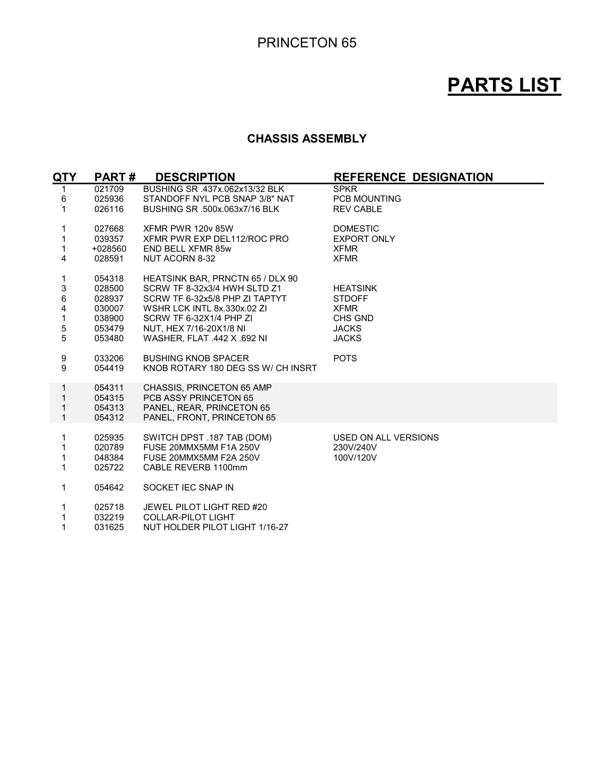#### **CHASSIS ASSEMBLY**

| QTY                                                                          | <b>PART#</b>                                                       | <b>DESCRIPTION</b>                                                                                                                                                                                                     | <b>REFERENCE DESIGNATION</b>                                                               |
|------------------------------------------------------------------------------|--------------------------------------------------------------------|------------------------------------------------------------------------------------------------------------------------------------------------------------------------------------------------------------------------|--------------------------------------------------------------------------------------------|
| 1<br>6                                                                       | 021709<br>025936                                                   | BUSHING SR .437x.062x13/32 BLK<br>STANDOFF NYL PCB SNAP 3/8" NAT                                                                                                                                                       | <b>SPKR</b><br><b>PCB MOUNTING</b>                                                         |
| 1                                                                            | 026116                                                             | BUSHING SR .500x.063x7/16 BLK                                                                                                                                                                                          | <b>REV CABLE</b>                                                                           |
| 1                                                                            | 027668                                                             | XFMR PWR 120y 85W                                                                                                                                                                                                      | <b>DOMESTIC</b>                                                                            |
| 1<br>$\mathbf 1$                                                             | 039357<br>+028560                                                  | XFMR PWR EXP DEL112/ROC PRO<br><b>END BELL XFMR 85w</b>                                                                                                                                                                | <b>EXPORT ONLY</b><br><b>XFMR</b>                                                          |
| $\overline{\mathbf{4}}$                                                      | 028591                                                             | NUT ACORN 8-32                                                                                                                                                                                                         | <b>XFMR</b>                                                                                |
| 1<br>3<br>$\,6\,$<br>$\overline{\mathbf{4}}$<br>$\mathbf 1$<br>$\frac{5}{5}$ | 054318<br>028500<br>028937<br>030007<br>038900<br>053479<br>053480 | HEATSINK BAR, PRNCTN 65 / DLX 90<br>SCRW TF 8-32x3/4 HWH SLTD Z1<br>SCRW TF 6-32x5/8 PHP ZI TAPTYT<br>WSHR LCK INTL 8x.330x.02 ZI<br>SCRW TF 6-32X1/4 PHP ZI<br>NUT, HEX 7/16-20X1/8 NI<br>WASHER, FLAT .442 X .692 NI | <b>HEATSINK</b><br><b>STDOFF</b><br><b>XFMR</b><br>CHS GND<br><b>JACKS</b><br><b>JACKS</b> |
| 9<br>9                                                                       | 033206<br>054419                                                   | <b>BUSHING KNOB SPACER</b><br>KNOB ROTARY 180 DEG SS W/ CH INSRT                                                                                                                                                       | <b>POTS</b>                                                                                |
| 1<br>$\mathbf{1}$<br>$\mathbf{1}$<br>$\mathbf{1}$                            | 054311<br>054315<br>054313<br>054312                               | CHASSIS, PRINCETON 65 AMP<br><b>PCB ASSY PRINCETON 65</b><br>PANEL, REAR, PRINCETON 65<br>PANEL, FRONT, PRINCETON 65                                                                                                   |                                                                                            |
| 1<br>$\mathbf 1$<br>$\mathbf 1$<br>1                                         | 025935<br>020789<br>048384<br>025722                               | SWITCH DPST .187 TAB (DOM)<br>FUSE 20MMX5MM F1A 250V<br>FUSE 20MMX5MM F2A 250V<br>CABLE REVERB 1100mm                                                                                                                  | USED ON ALL VERSIONS<br>230V/240V<br>100V/120V                                             |
| $\mathbf{1}$                                                                 | 054642                                                             | SOCKET IEC SNAP IN                                                                                                                                                                                                     |                                                                                            |
| $\mathbf{1}$<br>1<br>1                                                       | 025718<br>032219<br>031625                                         | JEWEL PILOT LIGHT RED #20<br><b>COLLAR-PILOT LIGHT</b><br>NUT HOLDER PILOT LIGHT 1/16-27                                                                                                                               |                                                                                            |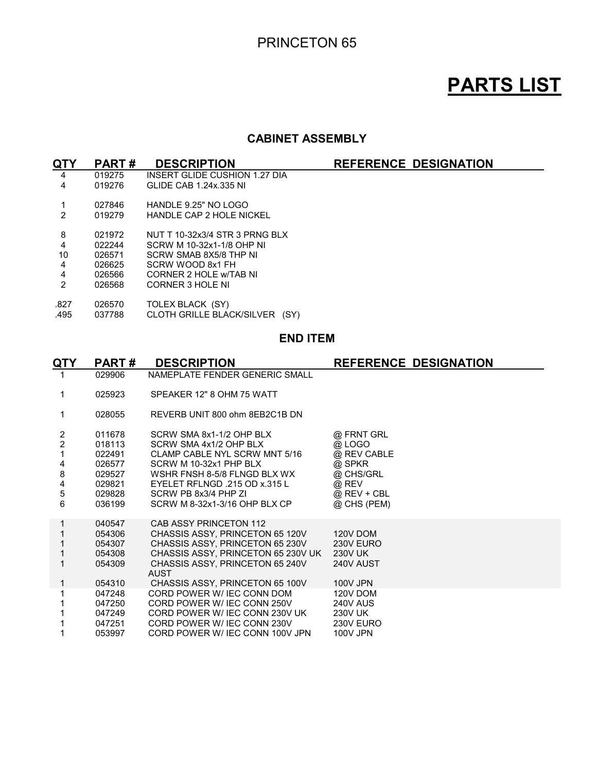#### **CABINET ASSEMBLY**

| QTY            | <b>PART#</b> | <b>DESCRIPTION</b>              | <b>REFERENCE DESIGNATION</b> |
|----------------|--------------|---------------------------------|------------------------------|
| 4              | 019275       | INSERT GLIDE CUSHION 1.27 DIA   |                              |
| 4              | 019276       | GLIDE CAB 1.24x.335 NI          |                              |
|                | 027846       | HANDLE 9.25" NO LOGO            |                              |
| 2              | 019279       | <b>HANDLE CAP 2 HOLE NICKEL</b> |                              |
| 8              | 021972       | NUT T 10-32x3/4 STR 3 PRNG BLX  |                              |
| 4              | 022244       | SCRW M 10-32x1-1/8 OHP NI       |                              |
| 10             | 026571       | SCRW SMAB 8X5/8 THP NI          |                              |
| 4              | 026625       | SCRW WOOD 8x1 FH                |                              |
| 4              | 026566       | CORNER 2 HOLE W/TAB NI          |                              |
| $\overline{2}$ | 026568       | CORNER 3 HOLE NI                |                              |
| .827           | 026570       | TOLEX BLACK (SY)                |                              |
| .495           | 037788       | CLOTH GRILLE BLACK/SILVER (SY)  |                              |
|                |              |                                 |                              |

#### **END ITEM**

| QTY                                          | <b>PART#</b>                                                                 | <b>DESCRIPTION</b>                                                                                                                                                                                                                      | <b>REFERENCE DESIGNATION</b>                                                                      |
|----------------------------------------------|------------------------------------------------------------------------------|-----------------------------------------------------------------------------------------------------------------------------------------------------------------------------------------------------------------------------------------|---------------------------------------------------------------------------------------------------|
|                                              | 029906                                                                       | NAMEPLATE FENDER GENERIC SMALL                                                                                                                                                                                                          |                                                                                                   |
| 1                                            | 025923                                                                       | SPEAKER 12" 8 OHM 75 WATT                                                                                                                                                                                                               |                                                                                                   |
| 1                                            | 028055                                                                       | REVERB UNIT 800 ohm 8EB2C1B DN                                                                                                                                                                                                          |                                                                                                   |
| 2<br>$\overline{2}$<br>4<br>8<br>4<br>5<br>6 | 011678<br>018113<br>022491<br>026577<br>029527<br>029821<br>029828<br>036199 | SCRW SMA 8x1-1/2 OHP BLX<br>SCRW SMA 4x1/2 OHP BLX<br>CLAMP CABLE NYL SCRW MNT 5/16<br>SCRW M 10-32x1 PHP BLX<br>WSHR FNSH 8-5/8 FLNGD BLX WX<br>EYELET RFLNGD .215 OD x.315 L<br>SCRW PB 8x3/4 PHP ZI<br>SCRW M 8-32x1-3/16 OHP BLX CP | @ FRNT GRL<br>@ LOGO<br>@ REV CABLE<br>@ SPKR<br>@ CHS/GRL<br>@ REV<br>@ REV + CBL<br>@ CHS (PEM) |
|                                              | 040547<br>054306<br>054307<br>054308<br>054309<br>054310                     | CAB ASSY PRINCETON 112<br>CHASSIS ASSY, PRINCETON 65 120V<br>CHASSIS ASSY, PRINCETON 65 230V<br>CHASSIS ASSY, PRINCETON 65 230V UK<br>CHASSIS ASSY, PRINCETON 65 240V<br><b>AUST</b><br>CHASSIS ASSY, PRINCETON 65 100V                 | 120V DOM<br>230V EURO<br>230V UK<br>240V AUST<br><b>100V JPN</b>                                  |
|                                              | 047248<br>047250<br>047249<br>047251<br>053997                               | CORD POWER W/ IEC CONN DOM<br>CORD POWER W/ IEC CONN 250V<br>CORD POWER W/ IEC CONN 230V UK<br>CORD POWER W/ IEC CONN 230V<br>CORD POWER W/ IEC CONN 100V JPN                                                                           | 120V DOM<br>240V AUS<br>230V UK<br>230V EURO<br><b>100V JPN</b>                                   |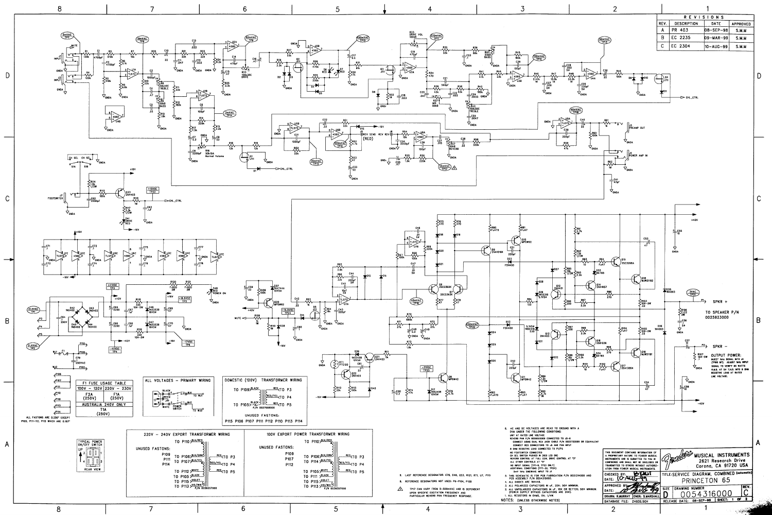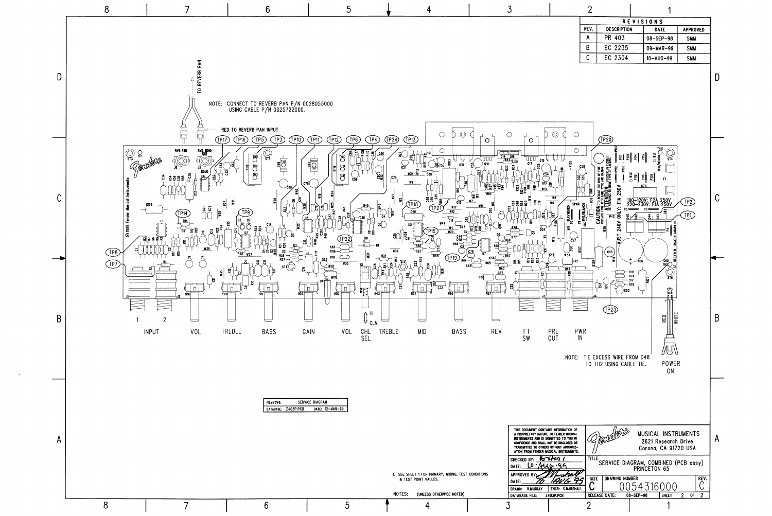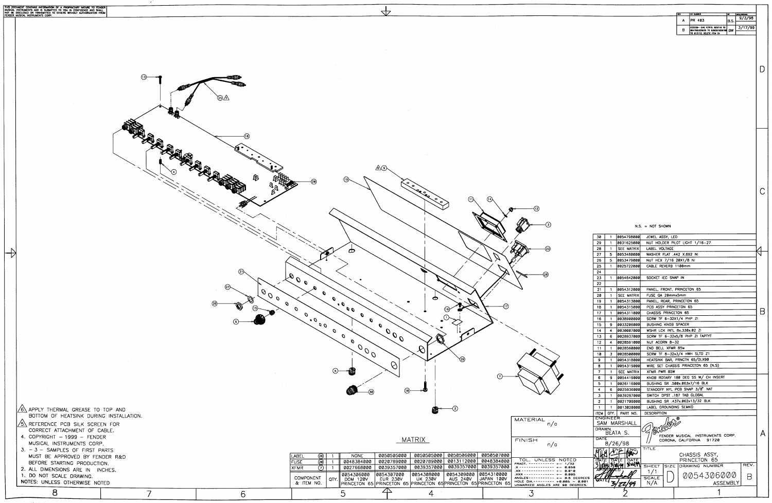

|          |                     |                         |                              |                                                |             | в | EC2235- CHC P/N'S: 025718 TO<br>054798;025035 TO 039287;020789<br>TO 013112, DELETE ITEM 24 |                 | BW | 3/17/99 |   |
|----------|---------------------|-------------------------|------------------------------|------------------------------------------------|-------------|---|---------------------------------------------------------------------------------------------|-----------------|----|---------|---|
|          |                     |                         |                              |                                                |             |   |                                                                                             |                 |    |         |   |
|          |                     |                         |                              | $N.S. = NOT$ SHOWN                             |             |   |                                                                                             |                 |    |         |   |
|          | 30<br>29            | 1<br>1                  | 0054798000<br>0031625000     | JEWEL ASSY, LED                                |             |   | NUT HOLDER PILOT LIGHT 1/16-27                                                              |                 |    |         |   |
|          | 28<br>27            | 1<br>5                  | SEE MATRIX<br>0053480000     | LABEL VOLTAGE<br>WASHER FLAT .442 X.692 NI     |             |   |                                                                                             |                 |    |         |   |
|          | 26                  | 5                       | 0053479000                   | NUT HEX 7/16 20X1/8 NI                         |             |   |                                                                                             |                 |    |         |   |
|          | 25                  | 1                       | 0025722000                   | CABLE REVERB 1100mm                            |             |   |                                                                                             |                 |    |         |   |
|          | 24<br>23            | 1                       | 0054642000                   | SOCKET IEC SNAP IN                             |             |   |                                                                                             |                 |    |         |   |
|          | 22                  |                         |                              |                                                |             |   |                                                                                             |                 |    |         |   |
|          | 21                  | 1                       | 0054312000                   | PANEL, FRONT, PRINCETON 65                     |             |   |                                                                                             |                 |    |         |   |
|          | 20<br>19            | 1<br>1                  | SEE MATRIX<br>0054313000     | FUSE QA 20mmx5mm<br>PANEL, REAR, PRINCETON 65  |             |   |                                                                                             |                 |    |         |   |
|          | 18                  | 1                       | 0054315000                   | PCB ASSY PRINCETON 65                          |             |   |                                                                                             |                 |    |         |   |
|          | 17                  | 1                       | 0054311000                   | CHASSIS PRINCETON 65                           |             |   |                                                                                             |                 |    |         | В |
|          | 16<br>15            | 1<br>g                  | 0038900000 <br>0033206000    | SCRW TF 6-32X1/4 PHP ZI<br>BUSHING KNOB SPACER |             |   |                                                                                             |                 |    |         |   |
|          | 14                  | 4                       | 0030007000                   | WSHR LCK INTL 8x.330x.02 ZI                    |             |   |                                                                                             |                 |    |         |   |
|          | 13                  | 6                       | 0028937000                   |                                                |             |   | SCRW TF 6-32x5/8 PHP ZI TAPTYT                                                              |                 |    |         |   |
|          | 12<br>11            | 4<br>1                  | 0028591000<br>0028560000     | NUT ACORN 8-32<br>END BELL XFMR 85w            |             |   |                                                                                             |                 |    |         |   |
|          | 10                  | 3                       | 0028500000                   |                                                |             |   | SCRW TF 8-32x3/4 HWH SLTD Z1                                                                |                 |    |         |   |
|          | 9                   | 1                       | 0054318000                   |                                                |             |   | HEATSINK BAR, PRNCTN 65/OLX90                                                               |                 |    |         |   |
|          | 8<br>7              | 1<br>1                  | 0054319000<br>SEE MATRIX     | XFMR PWR 85W                                   |             |   | WIRE SET CHASSIS PRINCETON 65 (N.S)                                                         |                 |    |         |   |
|          | 6                   | 9                       | 0054419000                   |                                                |             |   | KNOB ROTARY 180 DEG SS W/ CH INSERT                                                         |                 |    |         |   |
|          | 5                   | 1                       | 0026116000                   |                                                |             |   | BUSHING SR .500x.063x7/16 BLK                                                               |                 |    |         |   |
|          | 4                   | 6                       | 0025936000                   | SWITCH DPST .187 TAB GLOBAL                    |             |   | STANDOFF NYL PCB SNAP 3/8" NAT                                                              |                 |    |         |   |
|          | 3<br>$\overline{2}$ | 1<br>1                  | 0039287000<br>0021709000     |                                                |             |   | BUSHING SR .437x.062x13/32 BLK                                                              |                 |    |         |   |
|          | 1                   | 1                       | 0013020000                   | LABEL GROUNDING SEMKO                          |             |   |                                                                                             |                 |    |         |   |
|          | <b>ITEM</b>         | QTY.<br><b>ENGINEER</b> | PART NO.                     | <b>DESCRIPTION</b>                             |             |   |                                                                                             |                 |    |         |   |
|          |                     |                         | SAM MARSHALL                 |                                                |             |   |                                                                                             |                 |    |         |   |
|          | <b>DRAWN</b>        | BEATA S.                |                              |                                                |             |   |                                                                                             |                 |    |         | А |
|          | DATE                |                         |                              |                                                |             |   | FENDER MUSICAL INSTRUMENTS CORP.<br>CORONA, CALIFORNIA 91720                                |                 |    |         |   |
|          |                     | 8/26/98                 | NS LENG                      | TITLE                                          |             |   |                                                                                             |                 |    |         |   |
|          |                     |                         | m                            |                                                |             |   | CHASSIS ASSY,                                                                               |                 |    |         |   |
|          |                     |                         | DATE<br>rkh 3/18 41   XIXIII | <b>SHEET</b>                                   | <b>SIZE</b> |   | PRINCETON 65<br>DRAWING NUMBER                                                              |                 |    | REV.    |   |
|          |                     |                         |                              | 1/1                                            |             |   |                                                                                             |                 |    |         |   |
| ES<br>0١ |                     |                         |                              | <b>SCALE</b>                                   |             |   | 0054306000                                                                                  |                 |    | Β       |   |
| s.       |                     |                         |                              | N/A                                            |             |   |                                                                                             | <b>ASSEMBLY</b> |    |         |   |
|          |                     |                         |                              |                                                |             |   |                                                                                             |                 |    |         |   |
|          |                     |                         |                              |                                                |             |   |                                                                                             |                 |    |         |   |

 $B.S. \frac{9/3/98}{ }$ 

**TEC MARGE** A  $|PR 403$